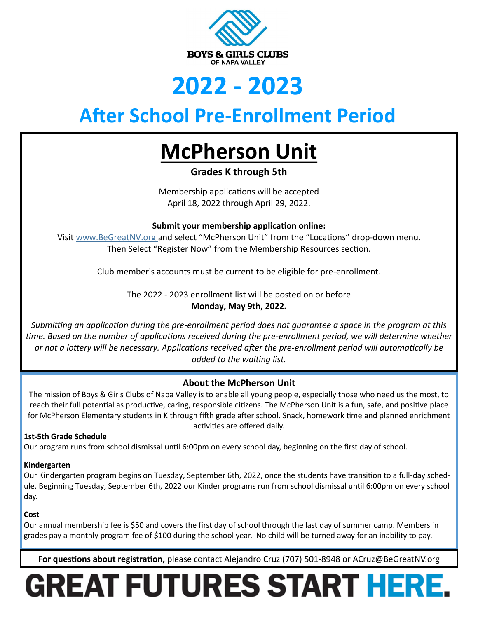

### **2022 - 2023**

### **After School Pre-Enrollment Period**

### **McPherson Unit**

**Grades K through 5th**

Membership applications will be accepted April 18, 2022 through April 29, 2022.

**Submit your membership application online:** 

Visit www.BeGreatNV.org and select "McPherson Unit" from the "Locations" drop-down menu. Then Select "Register Now" from the Membership Resources section.

Club member's accounts must be current to be eligible for pre-enrollment.

The 2022 - 2023 enrollment list will be posted on or before **Monday, May 9th, 2022.** 

*Submitting an application during the pre-enrollment period does not guarantee a space in the program at this time. Based on the number of applications received during the pre-enrollment period, we will determine whether or not a lottery will be necessary. Applications received after the pre-enrollment period will automatically be added to the waiting list.*

### **About the McPherson Unit**

The mission of Boys & Girls Clubs of Napa Valley is to enable all young people, especially those who need us the most, to reach their full potential as productive, caring, responsible citizens. The McPherson Unit is a fun, safe, and positive place for McPherson Elementary students in K through fifth grade after school. Snack, homework time and planned enrichment activities are offered daily.

### **1st-5th Grade Schedule**

Our program runs from school dismissal until 6:00pm on every school day, beginning on the first day of school.

### **Kindergarten**

Our Kindergarten program begins on Tuesday, September 6th, 2022, once the students have transition to a full-day schedule. Beginning Tuesday, September 6th, 2022 our Kinder programs run from school dismissal until 6:00pm on every school day.

### **Cost**

Our annual membership fee is \$50 and covers the first day of school through the last day of summer camp. Members in grades pay a monthly program fee of \$100 during the school year. No child will be turned away for an inability to pay.

**For questions about registration,** please contact Alejandro Cruz (707) 501-8948 or ACruz@BeGreatNV.org

# GREAT FUTURES START HERE.